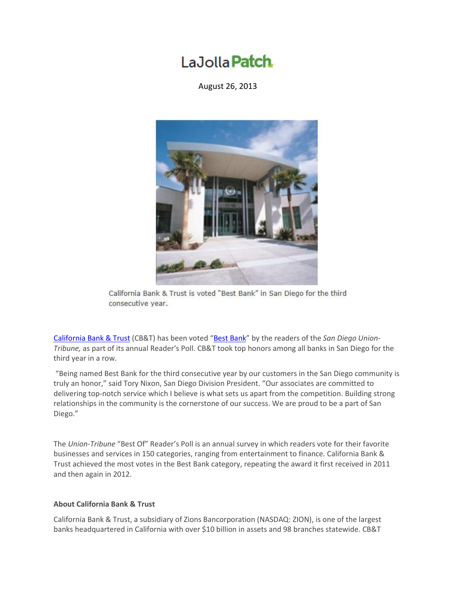## LaJolla **Patch**

August 26, 2013



California Bank & Trust is voted "Best Bank" in San Diego for the third consecutive year.

[California Bank & Trust](http://www.calbanktrust.com/) (CB&T) has been voted "[Best Bank](http://uniontrib.secondstreetapp.com/Best-of-San-Diego-2013/)" by the readers of the *San Diego Union-Tribune,* as part of its annual Reader's Poll. CB&T took top honors among all banks in San Diego for the third year in a row.

"Being named Best Bank for the third consecutive year by our customers in the San Diego community is truly an honor," said Tory Nixon, San Diego Division President. "Our associates are committed to delivering top-notch service which I believe is what sets us apart from the competition. Building strong relationships in the community is the cornerstone of our success. We are proud to be a part of San Diego."

The *Union-Tribune* "Best Of" Reader's Poll is an annual survey in which readers vote for their favorite businesses and services in 150 categories, ranging from entertainment to finance. California Bank & Trust achieved the most votes in the Best Bank category, repeating the award it first received in 2011 and then again in 2012.

## **About California Bank & Trust**

California Bank & Trust, a subsidiary of Zions Bancorporation (NASDAQ: ZION), is one of the largest banks headquartered in California with over \$10 billion in assets and 98 branches statewide. CB&T